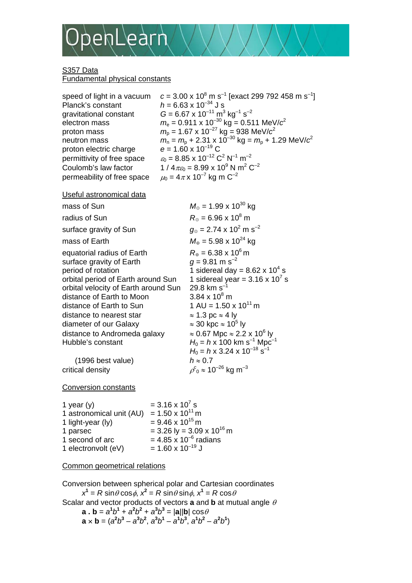

## S<sub>357</sub> Data Fundamental physical constants

speed of light in a vacuum Planck's constant  $h = 6.63 \times 10^{-34}$  J s gravitational constant  $G = 6.67 \times 10^{-11} \text{ m}^3 \text{ kg}^{-1} \text{ s}^{-2}$ proton electric charge permittivity of free space permeability of free space  $\mu_0 = 4\pi \times 10^{-7}$  kg m C<sup>-2</sup>

m s<sup>-1</sup> [exact 299 792 458 m s<sup>-1</sup>] electron mass  $m_e = 0.911 \times 10^{-30} \text{ kg} = 0.511 \text{ MeV}/c^2$ proton mass  $m_p = 1.67 \times 10^{-27} \text{ kg} = 938 \text{ MeV}/c^2$ <br>neutron mass  $m_p = m_p + 2.31 \times 10^{-30} \text{ kg} = m_p + 1$  $m_n = m_p + 2.31 \times 10^{-30}$  kg =  $m_p + 1.29$  MeV/ $c^2$ <br>e = 1.60 x 10<sup>-19</sup> C  $\varepsilon_0$  = 8.85 x 10<sup>-12</sup> C<sup>2</sup> N<sup>-1</sup> m<sup>-2</sup> Coulomb's law factor  $1 / 4 \pi \epsilon_0 = 8.99 \times 10^9 \text{ N m}^2 \text{ C}^{-2}$ 

Useful astronomical data

| mass of Sun                                                                                                                                                                                                                                                                                                                    | $M_{\odot}$ = 1.99 x 10 <sup>30</sup> kg                                                                                                                                                                                                                                                                                                                                                                                                                                                                    |
|--------------------------------------------------------------------------------------------------------------------------------------------------------------------------------------------------------------------------------------------------------------------------------------------------------------------------------|-------------------------------------------------------------------------------------------------------------------------------------------------------------------------------------------------------------------------------------------------------------------------------------------------------------------------------------------------------------------------------------------------------------------------------------------------------------------------------------------------------------|
| radius of Sun                                                                                                                                                                                                                                                                                                                  | $R_{\odot}$ = 6.96 x 10 <sup>8</sup> m                                                                                                                                                                                                                                                                                                                                                                                                                                                                      |
| surface gravity of Sun                                                                                                                                                                                                                                                                                                         | $g_{\odot}$ = 2.74 x 10 <sup>2</sup> m s <sup>-2</sup>                                                                                                                                                                                                                                                                                                                                                                                                                                                      |
| mass of Earth                                                                                                                                                                                                                                                                                                                  | $M_{\oplus}$ = 5.98 x 10 <sup>24</sup> kg                                                                                                                                                                                                                                                                                                                                                                                                                                                                   |
| equatorial radius of Earth<br>surface gravity of Earth<br>period of rotation<br>orbital period of Earth around Sun<br>orbital velocity of Earth around Sun<br>distance of Earth to Moon<br>distance of Earth to Sun<br>distance to nearest star<br>diameter of our Galaxy<br>distance to Andromeda galaxy<br>Hubble's constant | $R_{\oplus}$ = 6.38 x 10 <sup>6</sup> m<br>$g = 9.81$ m s <sup>-2</sup><br>1 sidereal day = $8.62 \times 10^4$ s<br>1 sidereal year = $3.16 \times 10^7$ s<br>29.8 km $s^{-1}$<br>$3.84 \times 10^8$ m<br>1 AU = $1.50 \times 10^{11}$ m<br>$\approx$ 1.3 pc $\approx$ 4 ly<br>$\approx$ 30 kpc $\approx$ 10 <sup>5</sup> ly<br>$\approx$ 0.67 Mpc $\approx$ 2.2 x 10 <sup>6</sup> ly<br>$H_0 = h \times 100$ km s <sup>-1</sup> Mpc <sup>-1</sup><br>$H_0 = h \times 3.24 \times 10^{-18}$ s <sup>-1</sup> |
| $(1996$ best value)                                                                                                                                                                                                                                                                                                            | $h \approx 0.7$                                                                                                                                                                                                                                                                                                                                                                                                                                                                                             |
| critical density                                                                                                                                                                                                                                                                                                               | $\rho_0^c \approx 10^{-26}$ kg m <sup>-3</sup>                                                                                                                                                                                                                                                                                                                                                                                                                                                              |

Conversion constants

| 1 year $(y)$             | $= 3.16 \times 10^{7}$ s                |
|--------------------------|-----------------------------------------|
| 1 astronomical unit (AU) | $= 1.50 \times 10^{11}$ m               |
| 1 light-year (ly)        | $= 9.46 \times 10^{15}$ m               |
| 1 parsec                 | $=$ 3.26 ly = 3.09 x 10 <sup>16</sup> m |
| 1 second of arc          | = $4.85 \times 10^{-6}$ radians         |
| 1 electronvolt (eV)      | $= 1.60 \times 10^{-19}$ J              |

Common geometrical relations

Conversion between spherical polar and Cartesian coordinates  $x^1 = R \sin \theta \cos \phi$ ,  $x^2 = R \sin \theta \sin \phi$ ,  $x^1 = R \cos \theta$ Scalar and vector products of vectors **a** and **b** at mutual angle θ **a** . **b** =  $a^1b^1 + a^2b^2 + a^3b^3 = |a||b| \cos \theta$  $\mathbf{a} \times \mathbf{b} = (a^2b^3 - a^3b^2, a^3b^1 - a^1b^3, a^1b^2 - a^2b^1)$